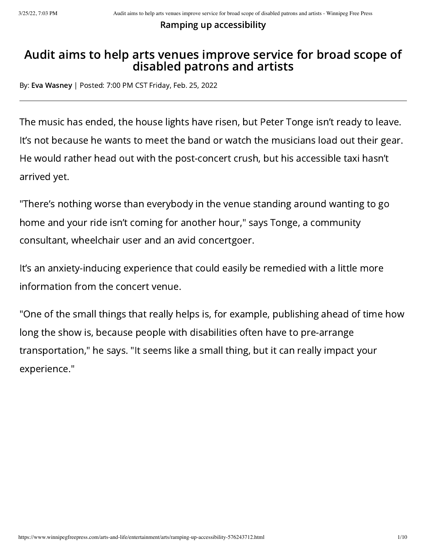Ramping up accessibility

## Audit aims to help arts venues improve service for broad scope of disabled patrons and artists

By: Eva [Wasney](https://www.winnipegfreepress.com/biographies/501907972.html) | Posted: 7:00 PM CST Friday, Feb. 25, 2022

The music has ended, the house lights have risen, but Peter Tonge isn't ready to leave. It's not because he wants to meet the band or watch the musicians load out their gear. He would rather head out with the post-concert crush, but his accessible taxi hasn't arrived yet.

"There's nothing worse than everybody in the venue standing around wanting to go home and your ride isn't coming for another hour," says Tonge, a community consultant, wheelchair user and an avid concertgoer.

It's an anxiety-inducing experience that could easily be remedied with a little more information from the concert venue.

"One of the small things that really helps is, for example, publishing ahead of time how long the show is, because people with disabilities often have to pre-arrange transportation," he says. "It seems like a small thing, but it can really impact your experience."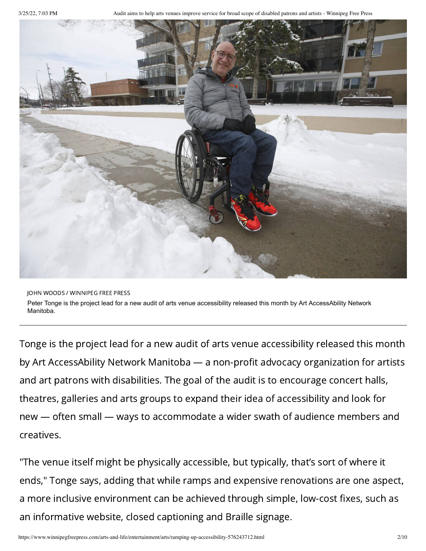3/25/22, 7:03 PM Audit aims to help arts venues improve service for broad scope of disabled patrons and artists - Winnipeg Free Press



JOHN WOODS / WINNIPEG FREE PRESS Peter Tonge is the project lead for a new audit of arts venue accessibility released this month by Art AccessAbility Network Manitoba.

Tonge is the project lead for a new audit of arts venue accessibility released this month by Art AccessAbility Network Manitoba — a non-profit advocacy organization for artists and art patrons with disabilities. The goal of the audit is to encourage concert halls, theatres, galleries and arts groups to expand their idea of accessibility and look for new — often small — ways to accommodate a wider swath of audience members and creatives.

"The venue itself might be physically accessible, but typically, that's sort of where it ends," Tonge says, adding that while ramps and expensive renovations are one aspect, a more inclusive environment can be achieved through simple, low-cost fixes, such as an informative website, closed captioning and Braille signage.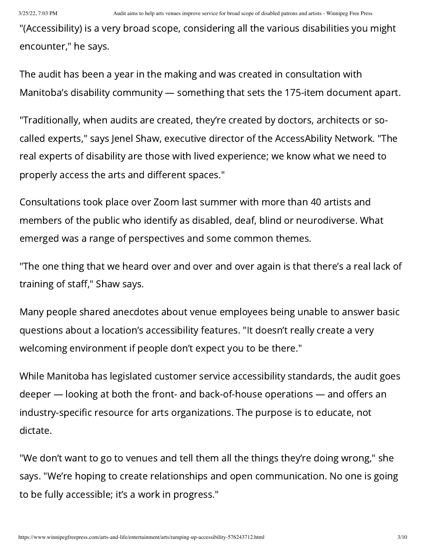"(Accessibility) is a very broad scope, considering all the various disabilities you might encounter," he says.

The audit has been a year in the making and was created in consultation with Manitoba's disability community — something that sets the 175-item document apart.

"Traditionally, when audits are created, they're created by doctors, architects or socalled experts," says Jenel Shaw, executive director of the AccessAbility Network. "The real experts of disability are those with lived experience; we know what we need to properly access the arts and different spaces."

Consultations took place over Zoom last summer with more than 40 artists and members of the public who identify as disabled, deaf, blind or neurodiverse. What emerged was a range of perspectives and some common themes.

"The one thing that we heard over and over and over again is that there's a real lack of training of staff," Shaw says.

Many people shared anecdotes about venue employees being unable to answer basic questions about a location's accessibility features. "It doesn't really create a very welcoming environment if people don't expect you to be there."

While Manitoba has legislated customer service accessibility standards, the audit goes deeper — looking at both the front- and back-of-house operations — and offers an industry-specific resource for arts organizations. The purpose is to educate, not dictate.

"We don't want to go to venues and tell them all the things they're doing wrong," she says. "We're hoping to create relationships and open communication. No one is going to be fully accessible; it's a work in progress."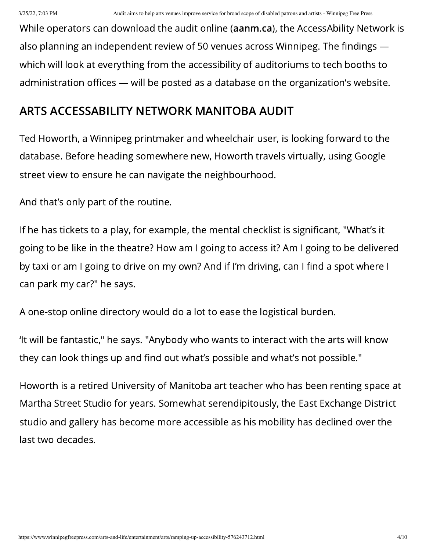While operators can download the audit online [\(aanm.ca\)](https://aanm.ca/), the AccessAbility Network is also planning an independent review of 50 venues across Winnipeg. The findings which will look at everything from the accessibility of auditoriums to tech booths to administration offices — will be posted as a database on the organization's website.

## ARTS ACCESSABILITY NETWORK MANITOBA AUDIT

Ted Howorth, a Winnipeg printmaker and wheelchair user, is looking forward to the database. Before heading somewhere new, Howorth travels virtually, using Google street view to ensure he can navigate the neighbourhood.

And that's only part of the routine.

If he has tickets to a play, for example, the mental checklist is significant, "What's it going to be like in the theatre? How am I going to access it? Am I going to be delivered by taxi or am I going to drive on my own? And if I'm driving, can I find a spot where I can park my car?" he says.

A one-stop online directory would do a lot to ease the logistical burden.

'It will be fantastic," he says. "Anybody who wants to interact with the arts will know they can look things up and find out what's possible and what's not possible."

Howorth is a retired University of Manitoba art teacher who has been renting space at Martha Street Studio for years. Somewhat serendipitously, the East Exchange District studio and gallery has become more accessible as his mobility has declined over the last two decades.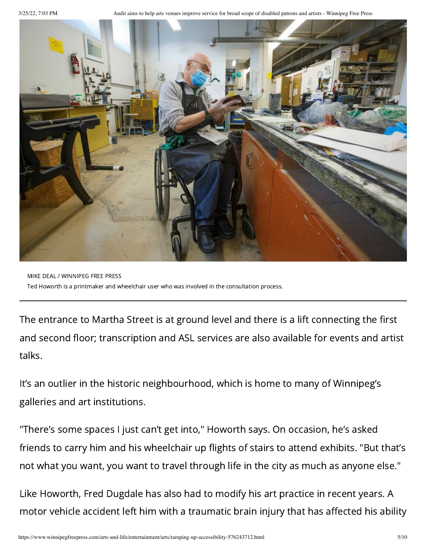3/25/22, 7:03 PM Audit aims to help arts venues improve service for broad scope of disabled patrons and artists - Winnipeg Free Press



MIKE DEAL / WINNIPEG FREE PRESS Ted Howorth is a printmaker and wheelchair user who was involved in the consultation process.

The entrance to Martha Street is at ground level and there is a lift connecting the first and second floor; transcription and ASL services are also available for events and artist talks.

It's an outlier in the historic neighbourhood, which is home to many of Winnipeg's galleries and art institutions.

"There's some spaces I just can't get into," Howorth says. On occasion, he's asked friends to carry him and his wheelchair up flights of stairs to attend exhibits. "But that's not what you want, you want to travel through life in the city as much as anyone else."

Like Howorth, Fred Dugdale has also had to modify his art practice in recent years. A motor vehicle accident left him with a traumatic brain injury that has affected his ability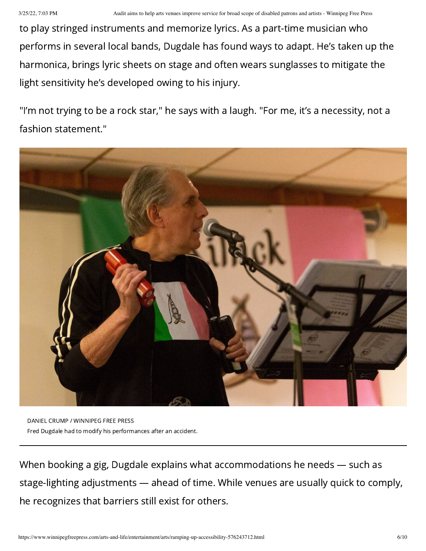to play stringed instruments and memorize lyrics. As a part-time musician who performs in several local bands, Dugdale has found ways to adapt. He's taken up the harmonica, brings lyric sheets on stage and often wears sunglasses to mitigate the light sensitivity he's developed owing to his injury.

"I'm not trying to be a rock star," he says with a laugh. "For me, it's a necessity, not a fashion statement."



DANIEL CRUMP / WINNIPEG FREE PRESS Fred Dugdale had to modify his performances after an accident.

When booking a gig, Dugdale explains what accommodations he needs — such as stage-lighting adjustments — ahead of time. While venues are usually quick to comply, he recognizes that barriers still exist for others.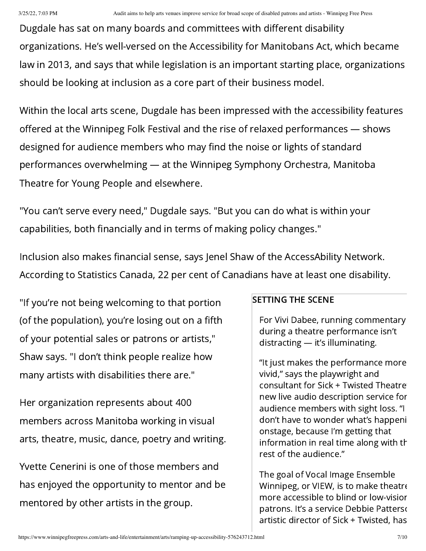Dugdale has sat on many boards and committees with different disability organizations. He's well-versed on the Accessibility for Manitobans Act, which became law in 2013, and says that while legislation is an important starting place, organizations should be looking at inclusion as a core part of their business model.

Within the local arts scene, Dugdale has been impressed with the accessibility features offered at the Winnipeg Folk Festival and the rise of relaxed performances — shows designed for audience members who may find the noise or lights of standard performances overwhelming — at the Winnipeg Symphony Orchestra, Manitoba Theatre for Young People and elsewhere.

"You can't serve every need," Dugdale says. "But you can do what is within your capabilities, both financially and in terms of making policy changes."

Inclusion also makes financial sense, says Jenel Shaw of the AccessAbility Network. According to Statistics Canada, 22 per cent of Canadians have at least one disability.

"If you're not being welcoming to that portion (of the population), you're losing out on a fifth of your potential sales or patrons or artists," Shaw says. "I don't think people realize how many artists with disabilities there are."

Her organization represents about 400 members across Manitoba working in visual arts, theatre, music, dance, poetry and writing.

Yvette Cenerini is one of those members and has enjoyed the opportunity to mentor and be mentored by other artists in the group.

## SETTING THE SCENE

For Vivi Dabee, running commentary during a theatre performance isn't distracting — it's illuminating.

"It just makes the performance more vivid," says the playwright and consultant for Sick + Twisted Theatre' new live audio description service for audience members with sight loss. "I don't have to wonder what's happeni onstage, because I'm getting that information in real time along with th rest of the audience."

The goal of Vocal Image Ensemble Winnipeg, or VIEW, is to make theatre more accessible to blind or low-vision patrons. It's a service Debbie Patterso artistic director of Sick + Twisted, has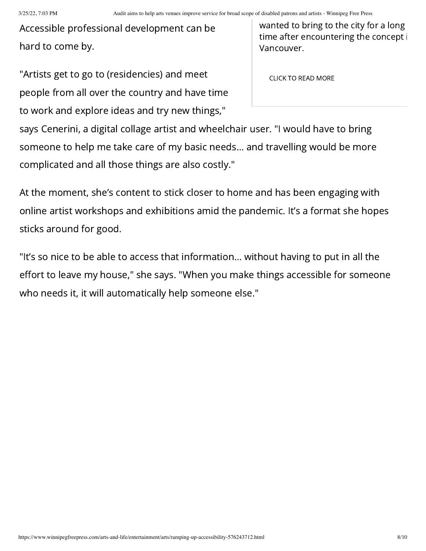Accessible professional development can be hard to come by.

"Artists get to go to (residencies) and meet people from all over the country and have time to work and explore ideas and try new things,"

wanted to bring to the city for a long time after encountering the concept Vancouver.

CLICK TO READ MORE

says Cenerini, a digital collage artist and wheelchair user. "I would have to bring someone to help me take care of my basic needs… and travelling would be more complicated and all those things are also costly."

At the moment, she's content to stick closer to home and has been engaging with online artist workshops and exhibitions amid the pandemic. It's a format she hopes sticks around for good.

"It's so nice to be able to access that information… without having to put in all the effort to leave my house," she says. "When you make things accessible for someone who needs it, it will automatically help someone else."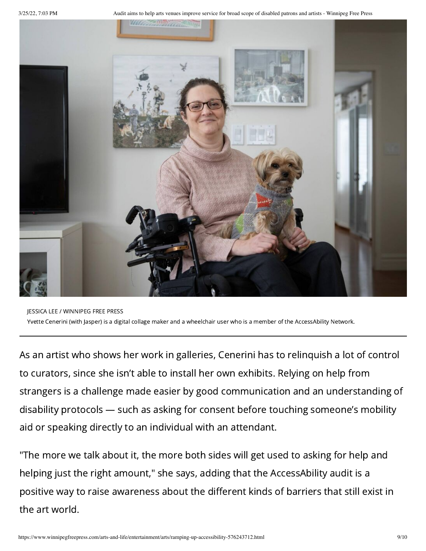3/25/22, 7:03 PM Audit aims to help arts venues improve service for broad scope of disabled patrons and artists - Winnipeg Free Press



JESSICA LEE / WINNIPEG FREE PRESS Yvette Cenerini (with Jasper) is a digital collage maker and a wheelchair user who is a member of the AccessAbility Network.

As an artist who shows her work in galleries, Cenerini has to relinquish a lot of control to curators, since she isn't able to install her own exhibits. Relying on help from strangers is a challenge made easier by good communication and an understanding of disability protocols — such as asking for consent before touching someone's mobility aid or speaking directly to an individual with an attendant.

"The more we talk about it, the more both sides will get used to asking for help and helping just the right amount," she says, adding that the AccessAbility audit is a positive way to raise awareness about the different kinds of barriers that still exist in the art world.